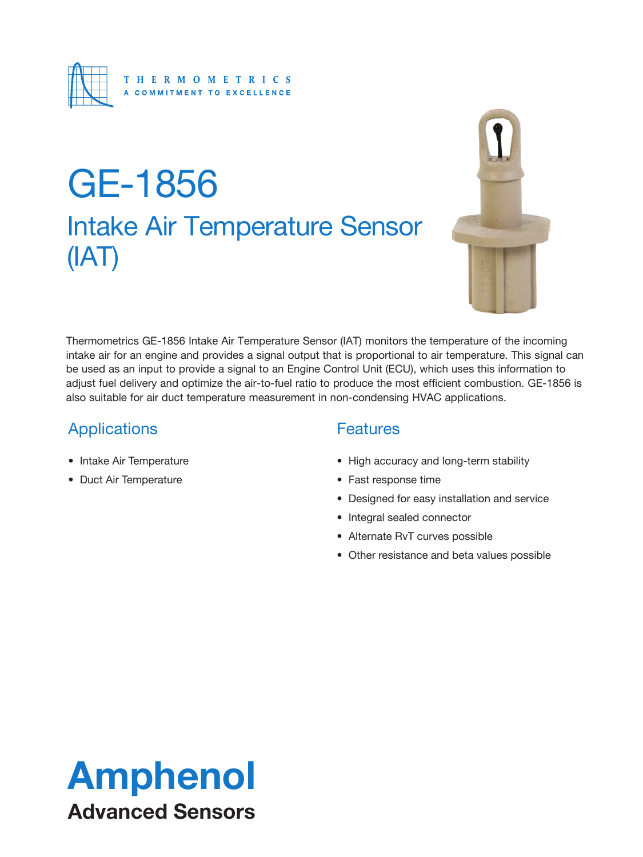

# Intake Air Temperature Sensor (IAT) GE-1856



Thermometrics GE-1856 Intake Air Temperature Sensor (IAT) monitors the temperature of the incoming intake air for an engine and provides a signal output that is proportional to air temperature. This signal can be used as an input to provide a signal to an Engine Control Unit (ECU), which uses this information to adjust fuel delivery and optimize the air-to-fuel ratio to produce the most efficient combustion. GE-1856 is also suitable for air duct temperature measurement in non-condensing HVAC applications.

### **Applications**

- Intake Air Temperature
- Duct Air Temperature

#### **Features**

- High accuracy and long-term stability
- Fast response time
- Designed for easy installation and service
- Integral sealed connector
- Alternate RvT curves possible
- Other resistance and beta values possible

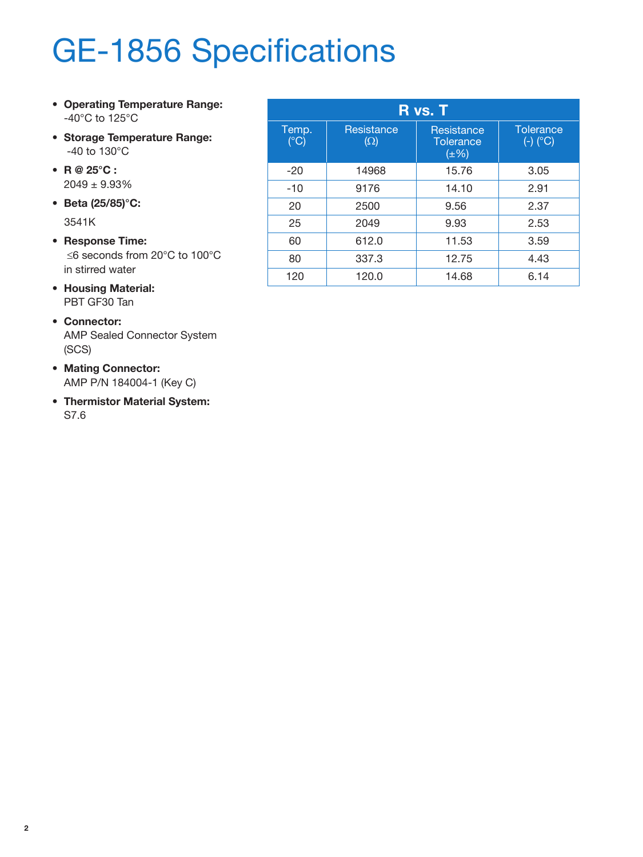# GE-1856 Specifications

- **• Operating Temperature Range:** -40°C to 125°C
- **• Storage Temperature Range:** -40 to 130°C
- **• R @ 25°C :** 2049 ± 9.93%
- **• Beta (25/85)°C:**

3541K

- **• Response Time:** ≤6 seconds from 20°C to 100°C in stirred water
- **• Housing Material:** PBT GF30 Tan
- **• Connector:** AMP Sealed Connector System (SCS)
- **• Mating Connector:** AMP P/N 184004-1 (Key C)
- **• Thermistor Material System:** S7.6

| R vs. T                |                          |                                             |                                       |
|------------------------|--------------------------|---------------------------------------------|---------------------------------------|
| Temp.<br>$(^{\circ}C)$ | Resistance<br>$(\Omega)$ | Resistance<br><b>Tolerance</b><br>$(\pm\%)$ | <b>Tolerance</b><br>$(\text{-})$ (°C) |
| $-20$                  | 14968                    | 15.76                                       | 3.05                                  |
| $-10$                  | 9176                     | 14.10                                       | 2.91                                  |
| 20                     | 2500                     | 9.56                                        | 2.37                                  |
| 25                     | 2049                     | 9.93                                        | 2.53                                  |
| 60                     | 612.0                    | 11.53                                       | 3.59                                  |
| 80                     | 337.3                    | 12.75                                       | 4.43                                  |
| 120                    | 120.0                    | 14.68                                       | 6.14                                  |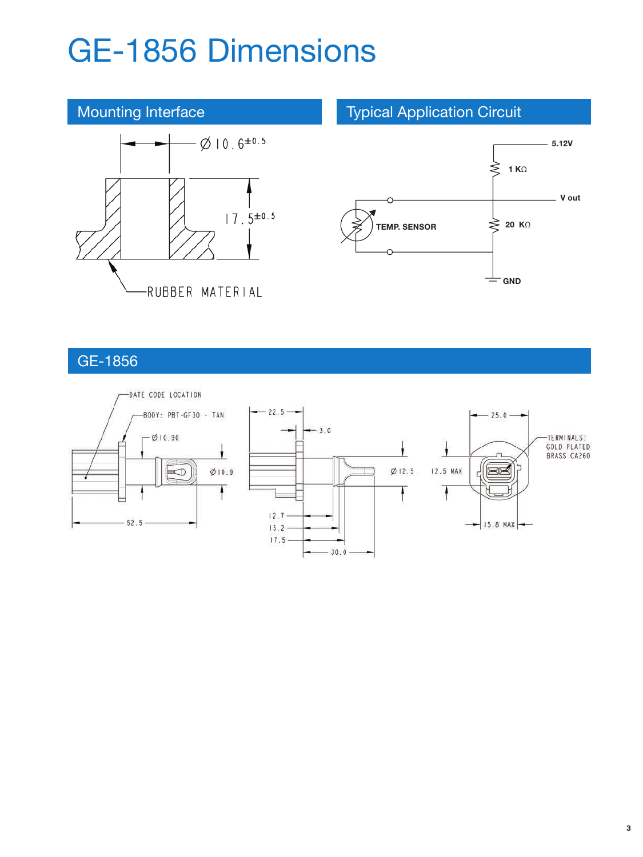## GE-1856 Dimensions



#### GE-1856